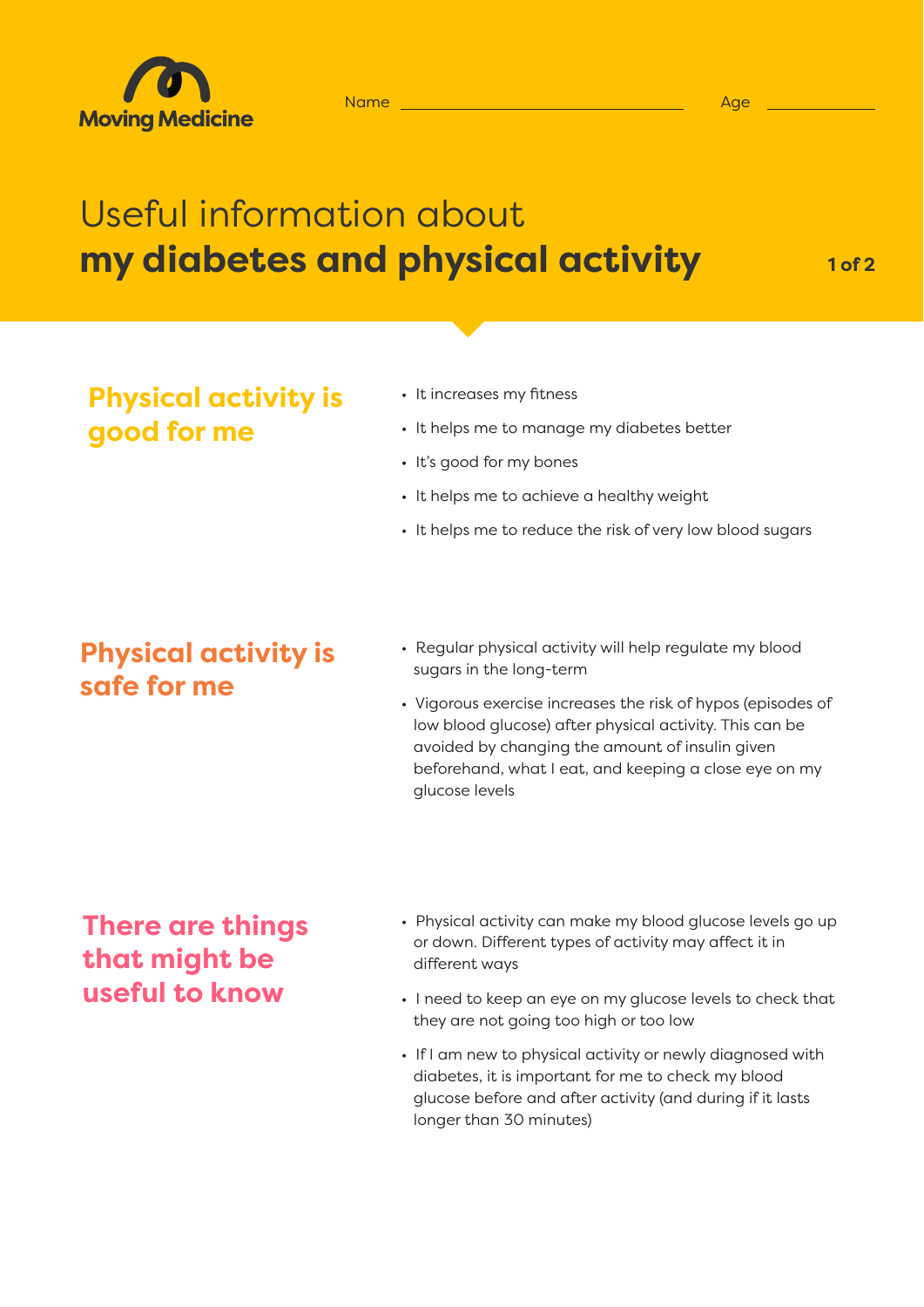

# Useful information about **my diabetes and physical activity**

**1 of 2**

## **Physical activity is good for me**

- It increases my fitness
- It helps me to manage my diabetes better
- It's good for my bones
- It helps me to achieve a healthy weight
- It helps me to reduce the risk of very low blood sugars

## **Physical activity is safe for me**

- Regular physical activity will help regulate my blood sugars in the long-term
- Vigorous exercise increases the risk of hypos (episodes of low blood glucose) after physical activity. This can be avoided by changing the amount of insulin given beforehand, what I eat, and keeping a close eye on my glucose levels

## **There are things that might be useful to know**

- Physical activity can make my blood glucose levels go up or down. Different types of activity may affect it in different ways
- I need to keep an eye on my glucose levels to check that they are not going too high or too low
- If I am new to physical activity or newly diagnosed with diabetes, it is important for me to check my blood glucose before and after activity (and during if it lasts longer than 30 minutes)